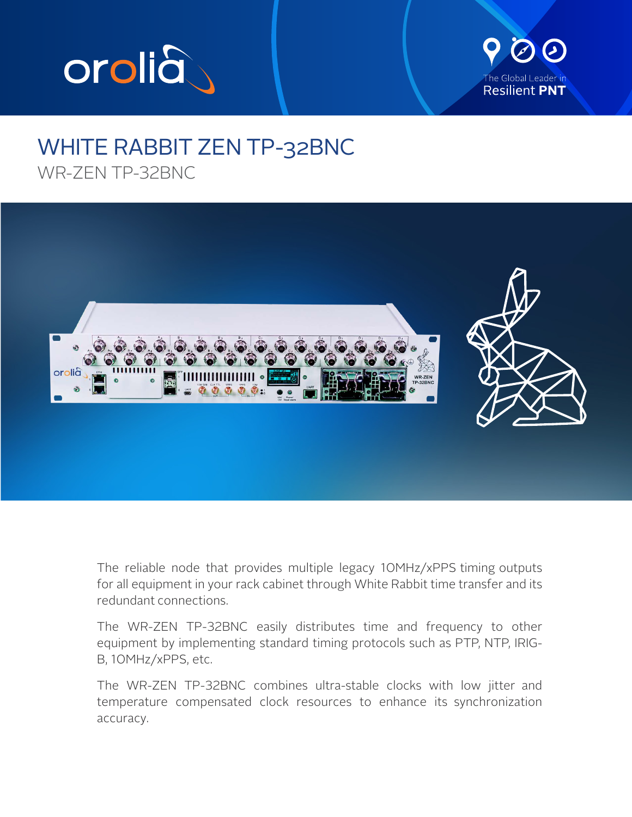



## WHITE RABBIT ZEN TP-32BNC WR-ZEN TP-32BNC



The reliable node that provides multiple legacy 10MHz/xPPS timing outputs for all equipment in your rack cabinet through White Rabbit time transfer and its redundant connections.

The WR-ZEN TP-32BNC easily distributes time and frequency to other equipment by implementing standard timing protocols such as PTP, NTP, IRIG-B, 10MHz/xPPS, etc.

The WR-ZEN TP-32BNC combines ultra-stable clocks with low jitter and temperature compensated clock resources to enhance its synchronization accuracy.